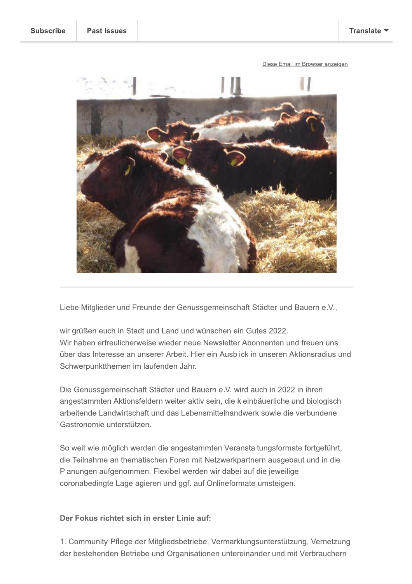

Liebe Mitglieder und Freunde der Genussgemeinschaft Städter und Bauern e.V.,

wir grüßen euch in Stadt und Land und wünschen ein Gutes 2022. Wir haben erfreulicherweise wieder neue Newsletter Abonnenten und freuen uns über das Interesse an unserer Arbeit. Hier ein Ausblick in unseren Aktionsradius und Schwerpunktthemen im laufenden Jahr.

Die Genussgemeinschaft Städter und Bauern e.V. wird auch in 2022 in ihren angestammten Aktionsfeldern weiter aktiv sein, die kleinbäuerliche und biologisch arbeitende Landwirtschaft und das Lebensmittelhandwerk sowie die verbundene Gastronomie unterstützen.

So weit wie möglich werden die angestammten Veranstaltungsformate fortgeführt, die Teilnahme an thematischen Foren mit Netzwerkpartnern ausgebaut und in die Planungen aufgenommen. Flexibel werden wir dabei auf die jeweilige coronabedingte Lage agieren und ggf. auf Onlineformate umsteigen.

# Der Fokus richtet sich in erster Linie auf:

1. Community-Pflege der Mitgliedsbetriebe, Vermarktungsunterstützung, Vernetzung der bestehenden Betriebe und Organisationen untereinander und mit Verbrauchern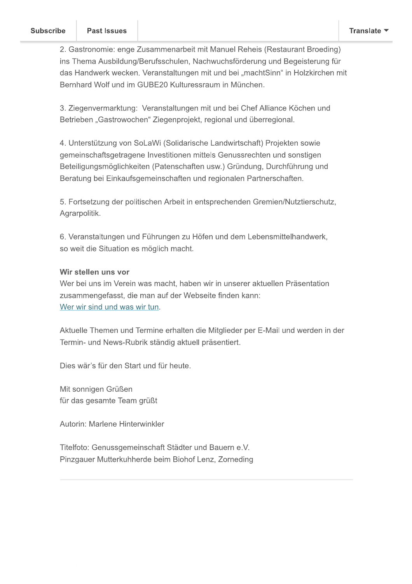2. Gastronomie: enge Zusammenarbeit mit Manuel Reheis (Restaurant Broeding) ins Thema Ausbildung/Berufsschulen, Nachwuchsförderung und Begeisterung für das Handwerk wecken. Veranstaltungen mit und bei "machtSinn" in Holzkirchen mit Bernhard Wolf und im GUBE20 Kulturessraum in München.

3. Ziegenvermarktung: Veranstaltungen mit und bei Chef Alliance Köchen und Betrieben "Gastrowochen" Ziegenprojekt, regional und überregional.

4. Unterstützung von SoLaWi (Solidarische Landwirtschaft) Projekten sowie gemeinschaftsgetragene Investitionen mittels Genussrechten und sonstigen Beteiligungsmöglichkeiten (Patenschaften usw.) Gründung, Durchführung und Beratung bei Einkaufsgemeinschaften und regionalen Partnerschaften.

5. Fortsetzung der politischen Arbeit in entsprechenden Gremien/Nutztierschutz, Agrarpolitik.

6. Veranstaltungen und Führungen zu Höfen und dem Lebensmittelhandwerk, so weit die Situation es möglich macht.

## Wir stellen uns vor

Wer bei uns im Verein was macht, haben wir in unserer aktuellen Präsentation zusammengefasst, die man auf der Webseite finden kann: Wer wir sind und was wir tun.

Aktuelle Themen und Termine erhalten die Mitglieder per E-Mail und werden in der Termin- und News-Rubrik ständig aktuell präsentiert.

Dies wär's für den Start und für heute.

Mit sonnigen Grüßen für das gesamte Team grüßt

Autorin: Marlene Hinterwinkler

Titelfoto: Genussgemeinschaft Städter und Bauern e.V. Pinzgauer Mutterkuhherde beim Biohof Lenz. Zorneding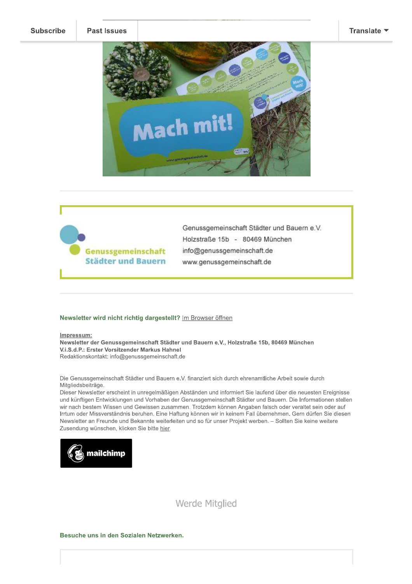#### Translate  $\blacktriangledown$





Genussgemeinschaft Städter und Bauern e.V. Holzstraße 15b - 80469 München info@genussgemeinschaft.de www.genussgemeinschaft.de

#### Newsletter wird nicht richtig dargestellt? Im Browser öffnen

#### Impressum:

Newsletter der Genussgemeinschaft Städter und Bauern e.V., Holzstraße 15b, 80469 München V.i.S.d.P.: Erster Vorsitzender Markus Hahnel Redaktionskontakt: info@genussgemeinschaft.de

Die Genussgemeinschaft Städter und Bauern e.V. finanziert sich durch ehrenamtliche Arbeit sowie durch Mitgliedsbeiträge.

Dieser Newsletter erscheint in unregelmäßigen Abständen und informiert Sie laufend über die neuesten Ereignisse und künftigen Entwicklungen und Vorhaben der Genussgemeinschaft Städter und Bauern. Die Informationen stellen wir nach bestem Wissen und Gewissen zusammen. Trotzdem können Angaben falsch oder veraltet sein oder auf Irrtum oder Missverständnis beruhen. Eine Haftung können wir in keinem Fall übernehmen. Gern dürfen Sie diesen Newsletter an Freunde und Bekannte weiterleiten und so für unser Projekt werben. - Sollten Sie keine weitere Zusendung wünschen, klicken Sie bitte hier.



**Werde Mitglied** 

### Besuche uns in den Sozialen Netzwerken.